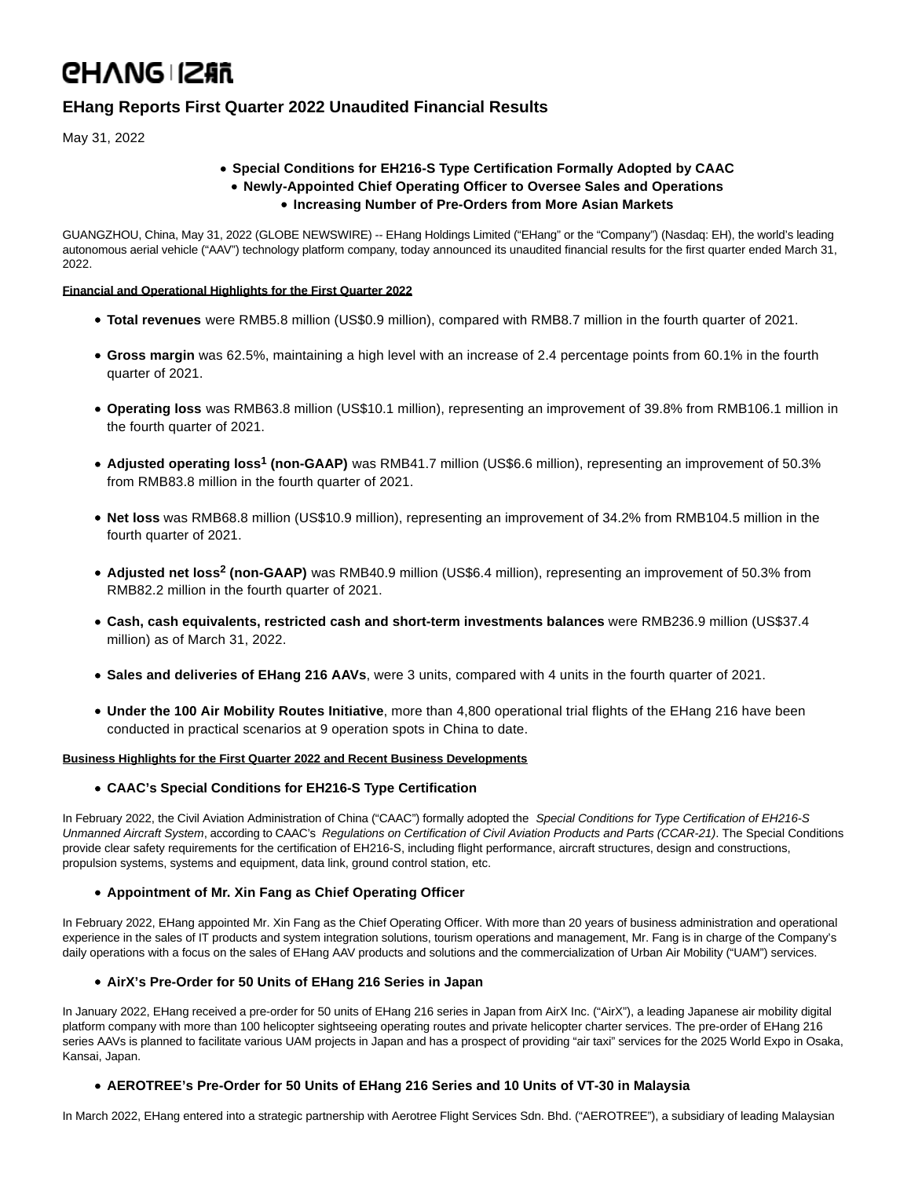# **CHANG IZAR**

# **EHang Reports First Quarter 2022 Unaudited Financial Results**

May 31, 2022

# **Special Conditions for EH216-S Type Certification Formally Adopted by CAAC**

## **Newly-Appointed Chief Operating Officer to Oversee Sales and Operations**

## **Increasing Number of Pre-Orders from More Asian Markets**

GUANGZHOU, China, May 31, 2022 (GLOBE NEWSWIRE) -- EHang Holdings Limited ("EHang" or the "Company") (Nasdaq: EH), the world's leading autonomous aerial vehicle ("AAV") technology platform company, today announced its unaudited financial results for the first quarter ended March 31, 2022.

## **Financial and Operational Highlights for the First Quarter 2022**

- **Total revenues** were RMB5.8 million (US\$0.9 million), compared with RMB8.7 million in the fourth quarter of 2021.
- **Gross margin** was 62.5%, maintaining a high level with an increase of 2.4 percentage points from 60.1% in the fourth quarter of 2021.
- **Operating loss** was RMB63.8 million (US\$10.1 million), representing an improvement of 39.8% from RMB106.1 million in the fourth quarter of 2021.
- **Adjusted operating loss<sup>1</sup> (non-GAAP)** was RMB41.7 million (US\$6.6 million), representing an improvement of 50.3% from RMB83.8 million in the fourth quarter of 2021.
- **Net loss** was RMB68.8 million (US\$10.9 million), representing an improvement of 34.2% from RMB104.5 million in the fourth quarter of 2021.
- **Adjusted net loss<sup>2</sup> (non-GAAP)** was RMB40.9 million (US\$6.4 million), representing an improvement of 50.3% from RMB82.2 million in the fourth quarter of 2021.
- **Cash, cash equivalents, restricted cash and short-term investments balances** were RMB236.9 million (US\$37.4 million) as of March 31, 2022.
- **Sales and deliveries of EHang 216 AAVs**, were 3 units, compared with 4 units in the fourth quarter of 2021.
- **Under the 100 Air Mobility Routes Initiative**, more than 4,800 operational trial flights of the EHang 216 have been conducted in practical scenarios at 9 operation spots in China to date.

## **Business Highlights for the First Quarter 2022 and Recent Business Developments**

## **CAAC's Special Conditions for EH216-S Type Certification**

In February 2022, the Civil Aviation Administration of China ("CAAC") formally adopted the Special Conditions for Type Certification of EH216-S Unmanned Aircraft System, according to CAAC's Regulations on Certification of Civil Aviation Products and Parts (CCAR-21). The Special Conditions provide clear safety requirements for the certification of EH216-S, including flight performance, aircraft structures, design and constructions, propulsion systems, systems and equipment, data link, ground control station, etc.

## **Appointment of Mr. Xin Fang as Chief Operating Officer**

In February 2022, EHang appointed Mr. Xin Fang as the Chief Operating Officer. With more than 20 years of business administration and operational experience in the sales of IT products and system integration solutions, tourism operations and management, Mr. Fang is in charge of the Company's daily operations with a focus on the sales of EHang AAV products and solutions and the commercialization of Urban Air Mobility ("UAM") services.

## **AirX's Pre-Order for 50 Units of EHang 216 Series in Japan**

In January 2022, EHang received a pre-order for 50 units of EHang 216 series in Japan from AirX Inc. ("AirX"), a leading Japanese air mobility digital platform company with more than 100 helicopter sightseeing operating routes and private helicopter charter services. The pre-order of EHang 216 series AAVs is planned to facilitate various UAM projects in Japan and has a prospect of providing "air taxi" services for the 2025 World Expo in Osaka, Kansai, Japan.

## **AEROTREE's Pre-Order for 50 Units of EHang 216 Series and 10 Units of VT-30 in Malaysia**

In March 2022, EHang entered into a strategic partnership with Aerotree Flight Services Sdn. Bhd. ("AEROTREE"), a subsidiary of leading Malaysian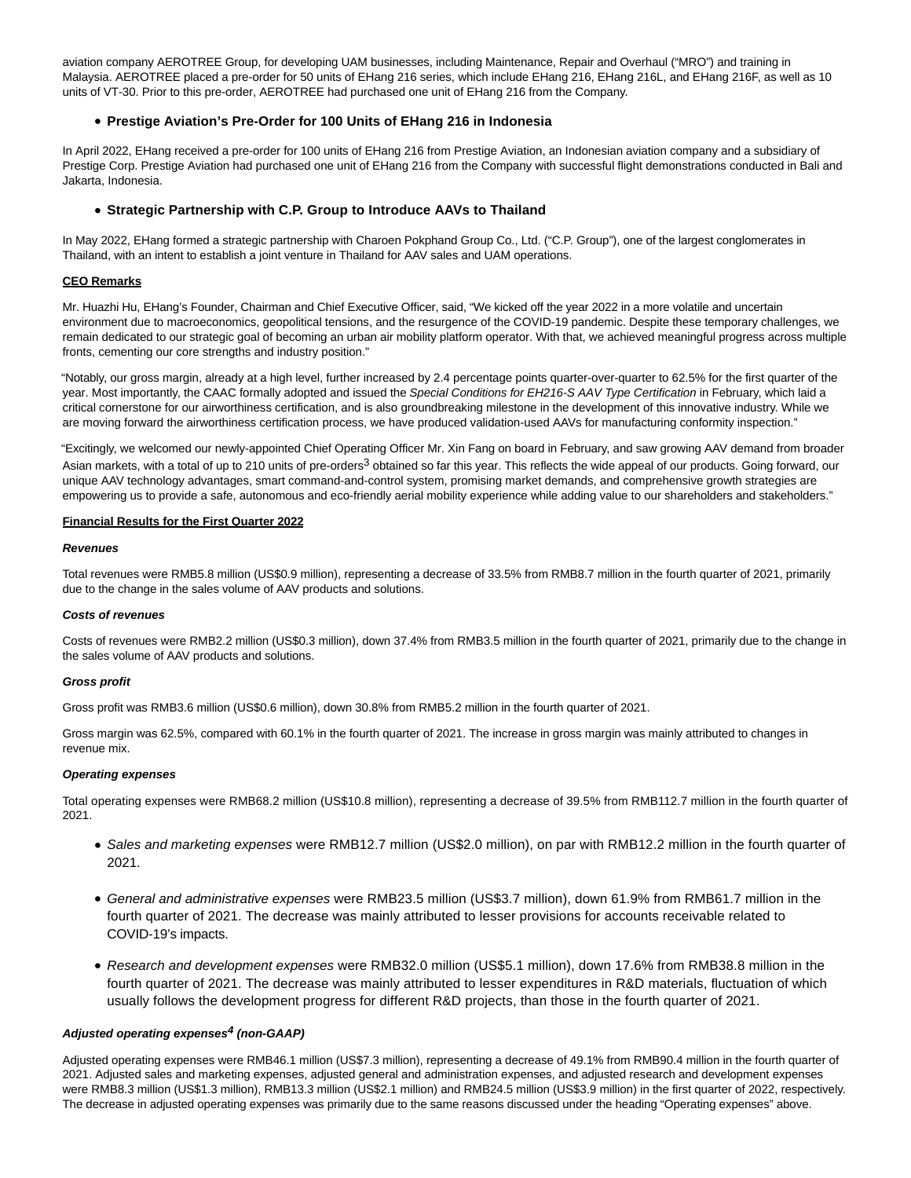aviation company AEROTREE Group, for developing UAM businesses, including Maintenance, Repair and Overhaul ("MRO") and training in Malaysia. AEROTREE placed a pre-order for 50 units of EHang 216 series, which include EHang 216, EHang 216L, and EHang 216F, as well as 10 units of VT-30. Prior to this pre-order, AEROTREE had purchased one unit of EHang 216 from the Company.

## **Prestige Aviation's Pre-Order for 100 Units of EHang 216 in Indonesia**

In April 2022, EHang received a pre-order for 100 units of EHang 216 from Prestige Aviation, an Indonesian aviation company and a subsidiary of Prestige Corp. Prestige Aviation had purchased one unit of EHang 216 from the Company with successful flight demonstrations conducted in Bali and Jakarta, Indonesia.

## **Strategic Partnership with C.P. Group to Introduce AAVs to Thailand**

In May 2022, EHang formed a strategic partnership with Charoen Pokphand Group Co., Ltd. ("C.P. Group"), one of the largest conglomerates in Thailand, with an intent to establish a joint venture in Thailand for AAV sales and UAM operations.

## **CEO Remarks**

Mr. Huazhi Hu, EHang's Founder, Chairman and Chief Executive Officer, said, "We kicked off the year 2022 in a more volatile and uncertain environment due to macroeconomics, geopolitical tensions, and the resurgence of the COVID-19 pandemic. Despite these temporary challenges, we remain dedicated to our strategic goal of becoming an urban air mobility platform operator. With that, we achieved meaningful progress across multiple fronts, cementing our core strengths and industry position."

"Notably, our gross margin, already at a high level, further increased by 2.4 percentage points quarter-over-quarter to 62.5% for the first quarter of the year. Most importantly, the CAAC formally adopted and issued the Special Conditions for EH216-S AAV Type Certification in February, which laid a critical cornerstone for our airworthiness certification, and is also groundbreaking milestone in the development of this innovative industry. While we are moving forward the airworthiness certification process, we have produced validation-used AAVs for manufacturing conformity inspection."

"Excitingly, we welcomed our newly-appointed Chief Operating Officer Mr. Xin Fang on board in February, and saw growing AAV demand from broader Asian markets, with a total of up to 210 units of pre-orders<sup>3</sup> obtained so far this year. This reflects the wide appeal of our products. Going forward, our unique AAV technology advantages, smart command-and-control system, promising market demands, and comprehensive growth strategies are empowering us to provide a safe, autonomous and eco-friendly aerial mobility experience while adding value to our shareholders and stakeholders."

## **Financial Results for the First Quarter 2022**

#### **Revenues**

Total revenues were RMB5.8 million (US\$0.9 million), representing a decrease of 33.5% from RMB8.7 million in the fourth quarter of 2021, primarily due to the change in the sales volume of AAV products and solutions.

## **Costs of revenues**

Costs of revenues were RMB2.2 million (US\$0.3 million), down 37.4% from RMB3.5 million in the fourth quarter of 2021, primarily due to the change in the sales volume of AAV products and solutions.

## **Gross profit**

Gross profit was RMB3.6 million (US\$0.6 million), down 30.8% from RMB5.2 million in the fourth quarter of 2021.

Gross margin was 62.5%, compared with 60.1% in the fourth quarter of 2021. The increase in gross margin was mainly attributed to changes in revenue mix.

## **Operating expenses**

Total operating expenses were RMB68.2 million (US\$10.8 million), representing a decrease of 39.5% from RMB112.7 million in the fourth quarter of 2021.

- Sales and marketing expenses were RMB12.7 million (US\$2.0 million), on par with RMB12.2 million in the fourth quarter of 2021.
- General and administrative expenses were RMB23.5 million (US\$3.7 million), down 61.9% from RMB61.7 million in the fourth quarter of 2021. The decrease was mainly attributed to lesser provisions for accounts receivable related to COVID-19's impacts.
- Research and development expenses were RMB32.0 million (US\$5.1 million), down 17.6% from RMB38.8 million in the fourth quarter of 2021. The decrease was mainly attributed to lesser expenditures in R&D materials, fluctuation of which usually follows the development progress for different R&D projects, than those in the fourth quarter of 2021.

## **Adjusted operating expenses4 (non-GAAP)**

Adjusted operating expenses were RMB46.1 million (US\$7.3 million), representing a decrease of 49.1% from RMB90.4 million in the fourth quarter of 2021. Adjusted sales and marketing expenses, adjusted general and administration expenses, and adjusted research and development expenses were RMB8.3 million (US\$1.3 million), RMB13.3 million (US\$2.1 million) and RMB24.5 million (US\$3.9 million) in the first quarter of 2022, respectively. The decrease in adjusted operating expenses was primarily due to the same reasons discussed under the heading "Operating expenses" above.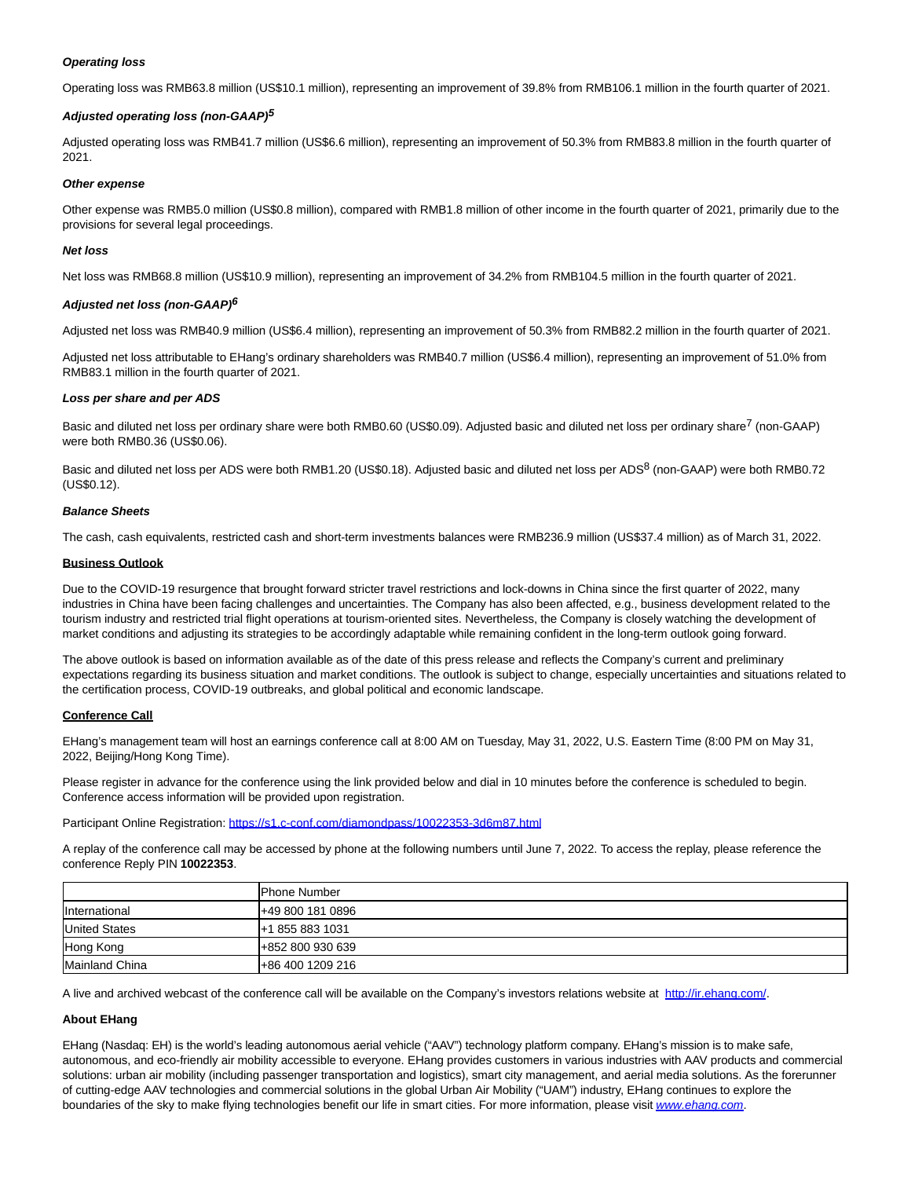## **Operating loss**

Operating loss was RMB63.8 million (US\$10.1 million), representing an improvement of 39.8% from RMB106.1 million in the fourth quarter of 2021.

#### **Adjusted operating loss (non-GAAP)5**

Adjusted operating loss was RMB41.7 million (US\$6.6 million), representing an improvement of 50.3% from RMB83.8 million in the fourth quarter of 2021.

#### **Other expense**

Other expense was RMB5.0 million (US\$0.8 million), compared with RMB1.8 million of other income in the fourth quarter of 2021, primarily due to the provisions for several legal proceedings.

#### **Net loss**

Net loss was RMB68.8 million (US\$10.9 million), representing an improvement of 34.2% from RMB104.5 million in the fourth quarter of 2021.

#### **Adjusted net loss (non-GAAP)6**

Adjusted net loss was RMB40.9 million (US\$6.4 million), representing an improvement of 50.3% from RMB82.2 million in the fourth quarter of 2021.

Adjusted net loss attributable to EHang's ordinary shareholders was RMB40.7 million (US\$6.4 million), representing an improvement of 51.0% from RMB83.1 million in the fourth quarter of 2021.

#### **Loss per share and per ADS**

Basic and diluted net loss per ordinary share were both RMB0.60 (US\$0.09). Adjusted basic and diluted net loss per ordinary share<sup>7</sup> (non-GAAP) were both RMB0.36 (US\$0.06).

Basic and diluted net loss per ADS were both RMB1.20 (US\$0.18). Adjusted basic and diluted net loss per ADS<sup>8</sup> (non-GAAP) were both RMB0.72 (US\$0.12).

#### **Balance Sheets**

The cash, cash equivalents, restricted cash and short-term investments balances were RMB236.9 million (US\$37.4 million) as of March 31, 2022.

#### **Business Outlook**

Due to the COVID-19 resurgence that brought forward stricter travel restrictions and lock-downs in China since the first quarter of 2022, many industries in China have been facing challenges and uncertainties. The Company has also been affected, e.g., business development related to the tourism industry and restricted trial flight operations at tourism-oriented sites. Nevertheless, the Company is closely watching the development of market conditions and adjusting its strategies to be accordingly adaptable while remaining confident in the long-term outlook going forward.

The above outlook is based on information available as of the date of this press release and reflects the Company's current and preliminary expectations regarding its business situation and market conditions. The outlook is subject to change, especially uncertainties and situations related to the certification process, COVID-19 outbreaks, and global political and economic landscape.

#### **Conference Call**

EHang's management team will host an earnings conference call at 8:00 AM on Tuesday, May 31, 2022, U.S. Eastern Time (8:00 PM on May 31, 2022, Beijing/Hong Kong Time).

Please register in advance for the conference using the link provided below and dial in 10 minutes before the conference is scheduled to begin. Conference access information will be provided upon registration.

Participant Online Registration: [https://s1.c-conf.com/diamondpass/10022353-3d6m87.html](https://www.globenewswire.com/Tracker?data=Q2kl3bCE1eOZxxctCDz4kCF0UNjjaXy-MyQV4MXa6lDBJxCE4UfH0qYkD7xk_0hpfK2RYO_lSBpGwyeUoE_sinf40heXZ371faw1oL5Tz5Lpb0GeIuaEbRL0avpiz2CkbsJbedl_U4ptNn2SWFZJAYMbx8jCOzipSQ-PxOEqbITFTWK-cAGK_bHvZ4LXkXaF)

A replay of the conference call may be accessed by phone at the following numbers until June 7, 2022. To access the replay, please reference the conference Reply PIN **10022353**.

|                       | <b>IPhone Number</b> |
|-----------------------|----------------------|
| International         | +49 800 181 0896     |
| <b>United States</b>  | +1 855 883 1031      |
| Hong Kong             | +852 800 930 639     |
| <b>Mainland China</b> | $+864001209216$      |

A live and archived webcast of the conference call will be available on the Company's investors relations website at [http://ir.ehang.com/.](https://www.globenewswire.com/Tracker?data=ya9TaIKQIXnV6rYCJ4YiQ1uz6f3_9kV4fVelErm0R7pSrdeQQF6WyV9P-yC3XIhhk1jBYo1TDe9sWxR2QnIIrA==)

## **About EHang**

EHang (Nasdaq: EH) is the world's leading autonomous aerial vehicle ("AAV") technology platform company. EHang's mission is to make safe, autonomous, and eco-friendly air mobility accessible to everyone. EHang provides customers in various industries with AAV products and commercial solutions: urban air mobility (including passenger transportation and logistics), smart city management, and aerial media solutions. As the forerunner of cutting-edge AAV technologies and commercial solutions in the global Urban Air Mobility ("UAM") industry, EHang continues to explore the boundaries of the sky to make flying technologies benefit our life in smart cities. For more information, please visit [www.ehang.com](https://www.globenewswire.com/Tracker?data=tZkymSupBY76I7X0ap1RP1R29l191Uid9sGGqV-WsigHA1NiNpRx1MYaGxWQeTupmIZ8q4jwTc3ZUdMc6KijtQ==).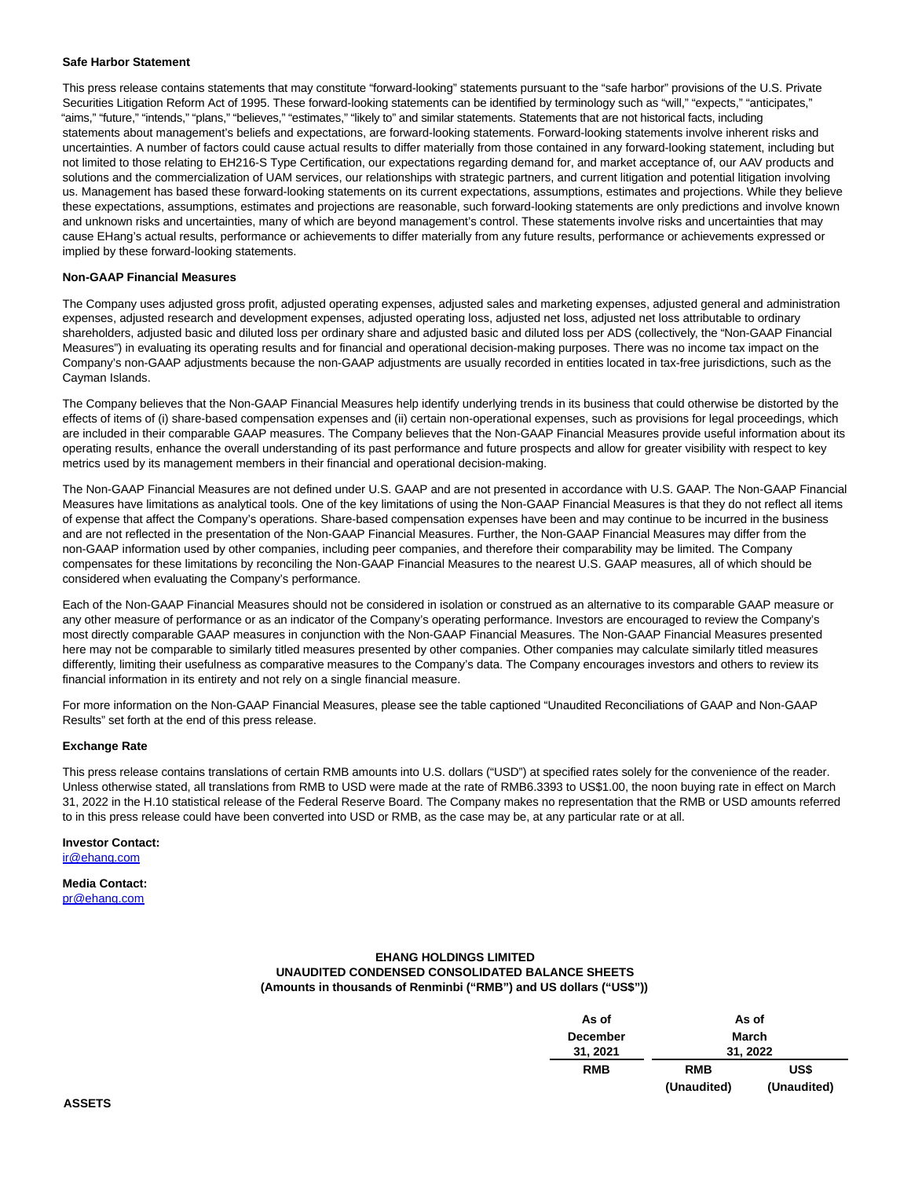#### **Safe Harbor Statement**

This press release contains statements that may constitute "forward-looking" statements pursuant to the "safe harbor" provisions of the U.S. Private Securities Litigation Reform Act of 1995. These forward-looking statements can be identified by terminology such as "will," "expects," "anticipates," "aims," "future," "intends," "plans," "believes," "estimates," "likely to" and similar statements. Statements that are not historical facts, including statements about management's beliefs and expectations, are forward-looking statements. Forward-looking statements involve inherent risks and uncertainties. A number of factors could cause actual results to differ materially from those contained in any forward-looking statement, including but not limited to those relating to EH216-S Type Certification, our expectations regarding demand for, and market acceptance of, our AAV products and solutions and the commercialization of UAM services, our relationships with strategic partners, and current litigation and potential litigation involving us. Management has based these forward-looking statements on its current expectations, assumptions, estimates and projections. While they believe these expectations, assumptions, estimates and projections are reasonable, such forward-looking statements are only predictions and involve known and unknown risks and uncertainties, many of which are beyond management's control. These statements involve risks and uncertainties that may cause EHang's actual results, performance or achievements to differ materially from any future results, performance or achievements expressed or implied by these forward-looking statements.

#### **Non-GAAP Financial Measures**

The Company uses adjusted gross profit, adjusted operating expenses, adjusted sales and marketing expenses, adjusted general and administration expenses, adjusted research and development expenses, adjusted operating loss, adjusted net loss, adjusted net loss attributable to ordinary shareholders, adjusted basic and diluted loss per ordinary share and adjusted basic and diluted loss per ADS (collectively, the "Non-GAAP Financial Measures") in evaluating its operating results and for financial and operational decision-making purposes. There was no income tax impact on the Company's non-GAAP adjustments because the non-GAAP adjustments are usually recorded in entities located in tax-free jurisdictions, such as the Cayman Islands.

The Company believes that the Non-GAAP Financial Measures help identify underlying trends in its business that could otherwise be distorted by the effects of items of (i) share-based compensation expenses and (ii) certain non-operational expenses, such as provisions for legal proceedings, which are included in their comparable GAAP measures. The Company believes that the Non-GAAP Financial Measures provide useful information about its operating results, enhance the overall understanding of its past performance and future prospects and allow for greater visibility with respect to key metrics used by its management members in their financial and operational decision-making.

The Non-GAAP Financial Measures are not defined under U.S. GAAP and are not presented in accordance with U.S. GAAP. The Non-GAAP Financial Measures have limitations as analytical tools. One of the key limitations of using the Non-GAAP Financial Measures is that they do not reflect all items of expense that affect the Company's operations. Share-based compensation expenses have been and may continue to be incurred in the business and are not reflected in the presentation of the Non-GAAP Financial Measures. Further, the Non-GAAP Financial Measures may differ from the non-GAAP information used by other companies, including peer companies, and therefore their comparability may be limited. The Company compensates for these limitations by reconciling the Non-GAAP Financial Measures to the nearest U.S. GAAP measures, all of which should be considered when evaluating the Company's performance.

Each of the Non-GAAP Financial Measures should not be considered in isolation or construed as an alternative to its comparable GAAP measure or any other measure of performance or as an indicator of the Company's operating performance. Investors are encouraged to review the Company's most directly comparable GAAP measures in conjunction with the Non-GAAP Financial Measures. The Non-GAAP Financial Measures presented here may not be comparable to similarly titled measures presented by other companies. Other companies may calculate similarly titled measures differently, limiting their usefulness as comparative measures to the Company's data. The Company encourages investors and others to review its financial information in its entirety and not rely on a single financial measure.

For more information on the Non-GAAP Financial Measures, please see the table captioned "Unaudited Reconciliations of GAAP and Non-GAAP Results" set forth at the end of this press release.

#### **Exchange Rate**

This press release contains translations of certain RMB amounts into U.S. dollars ("USD") at specified rates solely for the convenience of the reader. Unless otherwise stated, all translations from RMB to USD were made at the rate of RMB6.3393 to US\$1.00, the noon buying rate in effect on March 31, 2022 in the H.10 statistical release of the Federal Reserve Board. The Company makes no representation that the RMB or USD amounts referred to in this press release could have been converted into USD or RMB, as the case may be, at any particular rate or at all.

**Investor Contact:** [ir@ehang.com](https://www.globenewswire.com/Tracker?data=NbnPjTrGazxVn9Zx5PO-krnZel9S-ObiUEW_MnohNgL63h_y2SyMQ3GWdQHwkflwhClV50oQP_TJFNNmfw8P3Q==)

**Media Contact:** [pr@ehang.com](https://www.globenewswire.com/Tracker?data=GLlXrCMtpfifpiHgLS_jX5r_gwk-KX7TYGiOeZZTJdTp694cXY6tjxp_u_bSAtyegAz7TO_C3xnbtkoin243fw==)

## **EHANG HOLDINGS LIMITED UNAUDITED CONDENSED CONSOLIDATED BALANCE SHEETS (Amounts in thousands of Renminbi ("RMB") and US dollars ("US\$"))**

| As of           | As of       |             |  |
|-----------------|-------------|-------------|--|
| <b>December</b> | March       |             |  |
| 31, 2021        | 31, 2022    |             |  |
| <b>RMB</b>      | <b>RMB</b>  | US\$        |  |
|                 | (Unaudited) | (Unaudited) |  |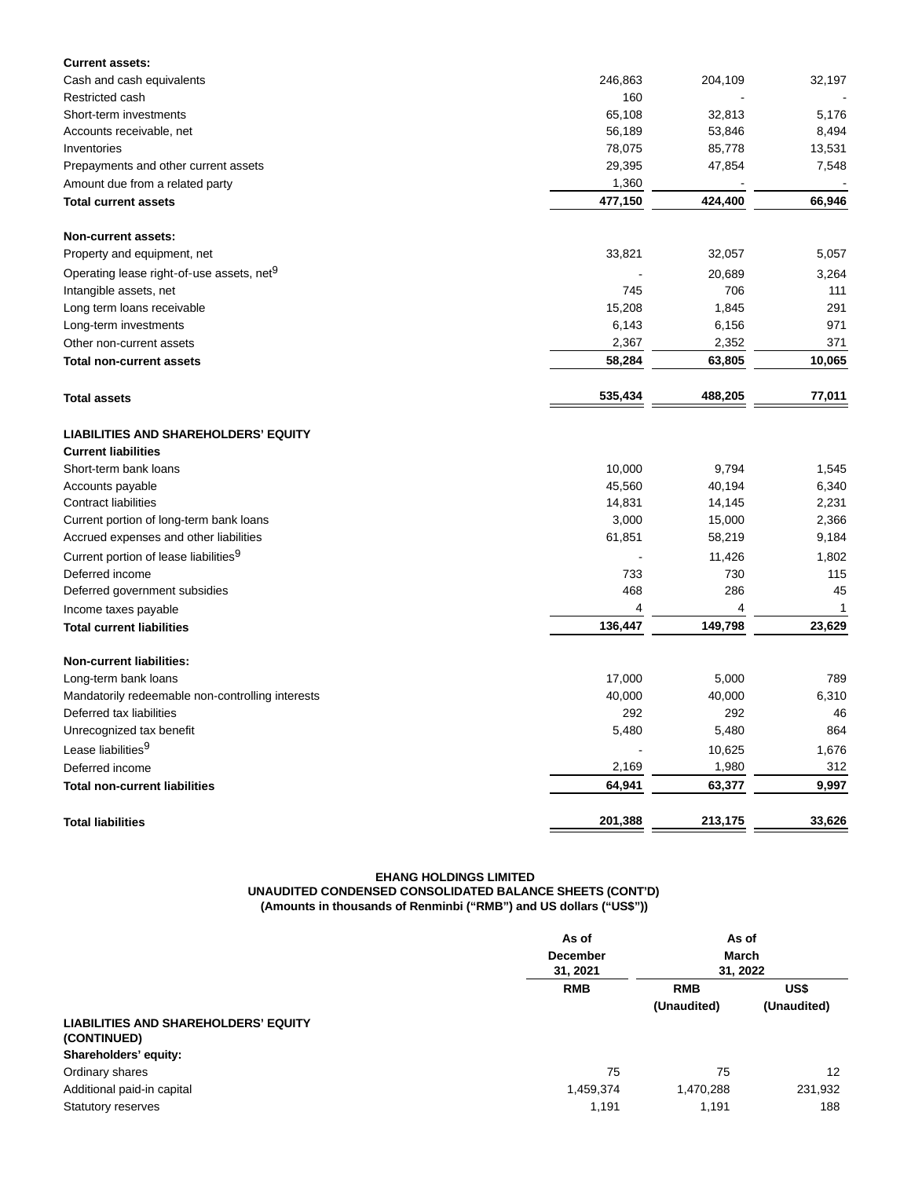| <b>Current assets:</b>                                                    |         |         |        |
|---------------------------------------------------------------------------|---------|---------|--------|
| Cash and cash equivalents                                                 | 246,863 | 204,109 | 32,197 |
| Restricted cash                                                           | 160     |         |        |
| Short-term investments                                                    | 65,108  | 32,813  | 5,176  |
| Accounts receivable, net                                                  | 56,189  | 53,846  | 8,494  |
| Inventories                                                               | 78,075  | 85,778  | 13,531 |
| Prepayments and other current assets                                      | 29,395  | 47,854  | 7,548  |
| Amount due from a related party                                           | 1,360   |         |        |
| <b>Total current assets</b>                                               | 477,150 | 424,400 | 66,946 |
| Non-current assets:                                                       |         |         |        |
| Property and equipment, net                                               | 33,821  | 32,057  | 5,057  |
| Operating lease right-of-use assets, net <sup>9</sup>                     |         | 20,689  | 3,264  |
| Intangible assets, net                                                    | 745     | 706     | 111    |
| Long term loans receivable                                                | 15,208  | 1,845   | 291    |
| Long-term investments                                                     | 6,143   | 6,156   | 971    |
| Other non-current assets                                                  | 2,367   | 2,352   | 371    |
| <b>Total non-current assets</b>                                           | 58,284  | 63,805  | 10,065 |
| <b>Total assets</b>                                                       | 535,434 | 488,205 | 77,011 |
| <b>LIABILITIES AND SHAREHOLDERS' EQUITY</b><br><b>Current liabilities</b> |         |         |        |
| Short-term bank loans                                                     | 10,000  | 9,794   | 1,545  |
| Accounts payable                                                          | 45,560  | 40,194  | 6,340  |
| <b>Contract liabilities</b>                                               | 14,831  | 14,145  | 2,231  |
| Current portion of long-term bank loans                                   | 3,000   | 15,000  | 2,366  |
| Accrued expenses and other liabilities                                    | 61,851  | 58,219  | 9,184  |
| Current portion of lease liabilities <sup>9</sup>                         |         | 11,426  | 1,802  |
| Deferred income                                                           | 733     | 730     | 115    |
| Deferred government subsidies                                             | 468     | 286     | 45     |
| Income taxes payable                                                      | 4       | 4       | 1      |
| <b>Total current liabilities</b>                                          | 136,447 | 149,798 | 23,629 |
| <b>Non-current liabilities:</b>                                           |         |         |        |
| Long-term bank loans                                                      | 17,000  | 5,000   | 789    |
| Mandatorily redeemable non-controlling interests                          | 40,000  | 40,000  | 6,310  |
| Deferred tax liabilities                                                  | 292     | 292     | 46     |
| Unrecognized tax benefit                                                  | 5,480   | 5,480   | 864    |
| Lease liabilities <sup>9</sup>                                            |         | 10,625  | 1,676  |
| Deferred income                                                           | 2,169   | 1,980   | 312    |
| <b>Total non-current liabilities</b>                                      | 64,941  | 63,377  | 9,997  |
| <b>Total liabilities</b>                                                  | 201,388 | 213,175 | 33,626 |

#### **EHANG HOLDINGS LIMITED UNAUDITED CONDENSED CONSOLIDATED BALANCE SHEETS (CONT'D) (Amounts in thousands of Renminbi ("RMB") and US dollars ("US\$"))**

|                                                            | As of           | As of             |             |
|------------------------------------------------------------|-----------------|-------------------|-------------|
|                                                            | <b>December</b> | March<br>31, 2022 |             |
|                                                            | 31, 2021        |                   |             |
|                                                            | <b>RMB</b>      | <b>RMB</b>        | US\$        |
|                                                            |                 | (Unaudited)       | (Unaudited) |
| <b>LIABILITIES AND SHAREHOLDERS' EQUITY</b><br>(CONTINUED) |                 |                   |             |
| Shareholders' equity:                                      |                 |                   |             |
| Ordinary shares                                            | 75              | 75                | 12          |
| Additional paid-in capital                                 | 1,459,374       | 1,470,288         | 231,932     |
| <b>Statutory reserves</b>                                  | 1,191           | 1.191             | 188         |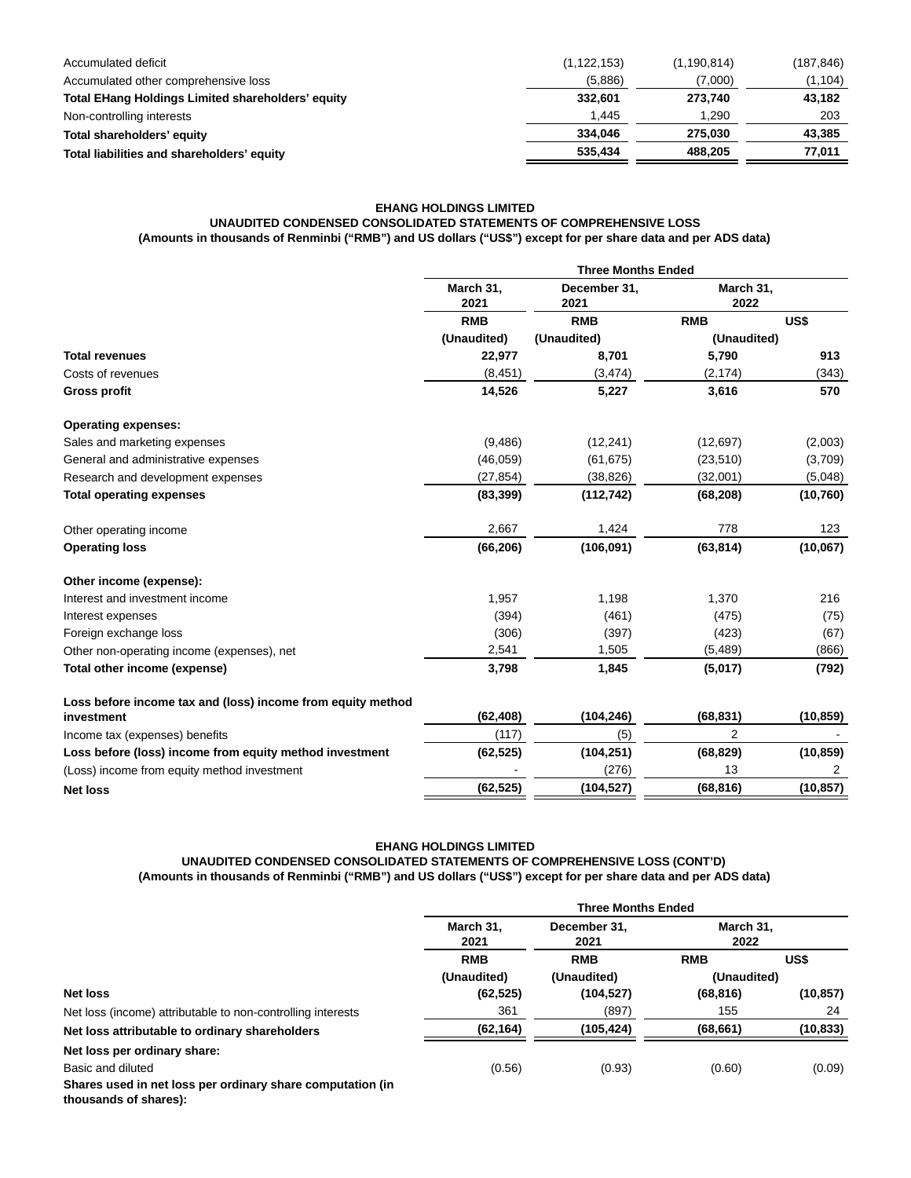| Accumulated deficit                                      | (1, 122, 153) | (1, 190, 814) | (187,846) |
|----------------------------------------------------------|---------------|---------------|-----------|
| Accumulated other comprehensive loss                     | (5,886)       | (7,000)       | (1, 104)  |
| <b>Total EHang Holdings Limited shareholders' equity</b> | 332.601       | 273.740       | 43.182    |
| Non-controlling interests                                | 1.445         | 1.290         | 203       |
| Total shareholders' equity                               | 334.046       | 275.030       | 43.385    |
| Total liabilities and shareholders' equity               | 535.434       | 488.205       | 77.011    |
|                                                          |               |               |           |

## **EHANG HOLDINGS LIMITED**

#### **UNAUDITED CONDENSED CONSOLIDATED STATEMENTS OF COMPREHENSIVE LOSS (Amounts in thousands of Renminbi ("RMB") and US dollars ("US\$") except for per share data and per ADS data)**

|                                                             | <b>Three Months Ended</b> |                      |                   |           |
|-------------------------------------------------------------|---------------------------|----------------------|-------------------|-----------|
|                                                             | March 31,<br>2021         | December 31,<br>2021 | March 31,<br>2022 |           |
|                                                             | <b>RMB</b>                | <b>RMB</b>           | <b>RMB</b>        | US\$      |
|                                                             | (Unaudited)               | (Unaudited)          | (Unaudited)       |           |
| <b>Total revenues</b>                                       | 22,977                    | 8,701                | 5,790             | 913       |
| Costs of revenues                                           | (8, 451)                  | (3, 474)             | (2, 174)          | (343)     |
| <b>Gross profit</b>                                         | 14,526                    | 5,227                | 3,616             | 570       |
| <b>Operating expenses:</b>                                  |                           |                      |                   |           |
| Sales and marketing expenses                                | (9, 486)                  | (12, 241)            | (12, 697)         | (2,003)   |
| General and administrative expenses                         | (46, 059)                 | (61, 675)            | (23, 510)         | (3,709)   |
| Research and development expenses                           | (27, 854)                 | (38, 826)            | (32,001)          | (5,048)   |
| <b>Total operating expenses</b>                             | (83, 399)                 | (112, 742)           | (68, 208)         | (10, 760) |
| Other operating income                                      | 2,667                     | 1,424                | 778               | 123       |
| <b>Operating loss</b>                                       | (66, 206)                 | (106, 091)           | (63, 814)         | (10,067)  |
| Other income (expense):                                     |                           |                      |                   |           |
| Interest and investment income                              | 1,957                     | 1,198                | 1,370             | 216       |
| Interest expenses                                           | (394)                     | (461)                | (475)             | (75)      |
| Foreign exchange loss                                       | (306)                     | (397)                | (423)             | (67)      |
| Other non-operating income (expenses), net                  | 2,541                     | 1,505                | (5, 489)          | (866)     |
| Total other income (expense)                                | 3,798                     | 1,845                | (5,017)           | (792)     |
| Loss before income tax and (loss) income from equity method |                           |                      |                   |           |
| investment                                                  | (62, 408)                 | (104, 246)           | (68, 831)         | (10, 859) |
| Income tax (expenses) benefits                              | (117)                     | (5)                  | $\overline{2}$    |           |
| Loss before (loss) income from equity method investment     | (62, 525)                 | (104, 251)           | (68, 829)         | (10, 859) |
| (Loss) income from equity method investment                 |                           | (276)                | 13                | 2         |
| <b>Net loss</b>                                             | (62, 525)                 | (104, 527)           | (68, 816)         | (10, 857) |

# **EHANG HOLDINGS LIMITED**

## **UNAUDITED CONDENSED CONSOLIDATED STATEMENTS OF COMPREHENSIVE LOSS (CONT'D) (Amounts in thousands of Renminbi ("RMB") and US dollars ("US\$") except for per share data and per ADS data)**

|                                                             | <b>Three Months Ended</b>       |                                    |                   |          |
|-------------------------------------------------------------|---------------------------------|------------------------------------|-------------------|----------|
|                                                             | March 31.<br>2021<br><b>RMB</b> | December 31.<br>2021<br><b>RMB</b> | March 31.<br>2022 |          |
|                                                             |                                 |                                    | <b>RMB</b>        | US\$     |
|                                                             | (Unaudited)                     | (Unaudited)                        | (Unaudited)       |          |
| <b>Net loss</b>                                             | (62, 525)                       | (104, 527)                         | (68, 816)         | (10,857) |
| Net loss (income) attributable to non-controlling interests | 361                             | (897)                              | 155               | 24       |
| Net loss attributable to ordinary shareholders              | (62, 164)                       | (105,424)                          | (68, 661)         | (10,833) |
| Net loss per ordinary share:                                |                                 |                                    |                   |          |
| Basic and diluted                                           | (0.56)                          | (0.93)                             | (0.60)            | (0.09)   |
| Shares used in net loss per ordinary share computation (in  |                                 |                                    |                   |          |

**thousands of shares):**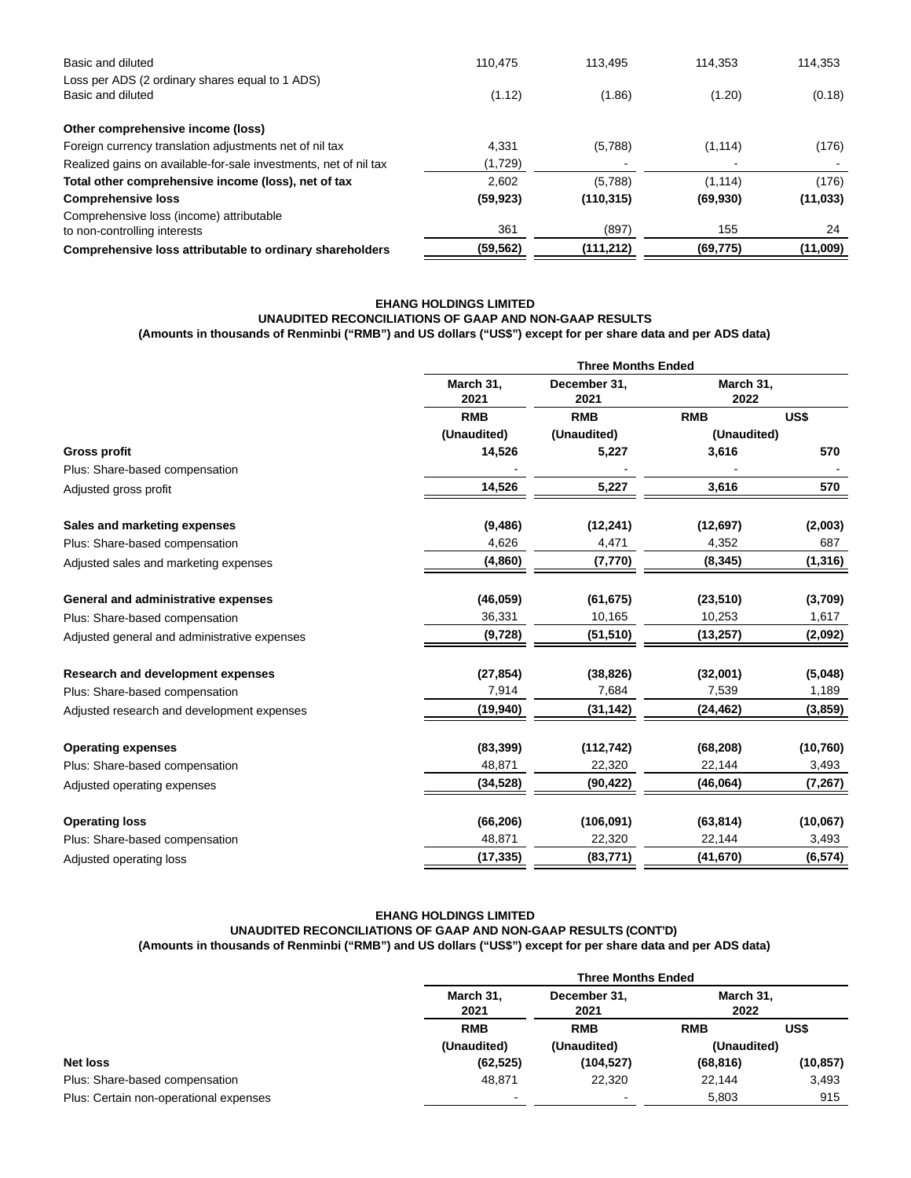| Basic and diluted                                                        | 110.475   | 113.495    | 114.353   | 114.353   |
|--------------------------------------------------------------------------|-----------|------------|-----------|-----------|
| Loss per ADS (2 ordinary shares equal to 1 ADS)<br>Basic and diluted     | (1.12)    | (1.86)     | (1.20)    | (0.18)    |
| Other comprehensive income (loss)                                        |           |            |           |           |
| Foreign currency translation adjustments net of nil tax                  | 4.331     | (5,788)    | (1, 114)  | (176)     |
| Realized gains on available-for-sale investments, net of nil tax         | (1,729)   |            |           |           |
| Total other comprehensive income (loss), net of tax                      | 2.602     | (5,788)    | (1, 114)  | (176)     |
| <b>Comprehensive loss</b>                                                | (59, 923) | (110, 315) | (69, 930) | (11, 033) |
| Comprehensive loss (income) attributable<br>to non-controlling interests | 361       | (897)      | 155       | 24        |
| Comprehensive loss attributable to ordinary shareholders                 | (59, 562) | (111, 212) | (69, 775) | (11,009)  |

## **EHANG HOLDINGS LIMITED UNAUDITED RECONCILIATIONS OF GAAP AND NON-GAAP RESULTS (Amounts in thousands of Renminbi ("RMB") and US dollars ("US\$") except for per share data and per ADS data)**

|                                              |                   | <b>Three Months Ended</b> |                   |           |  |
|----------------------------------------------|-------------------|---------------------------|-------------------|-----------|--|
|                                              | March 31,<br>2021 | December 31,<br>2021      | March 31,<br>2022 |           |  |
|                                              | <b>RMB</b>        | <b>RMB</b>                | <b>RMB</b>        | US\$      |  |
|                                              | (Unaudited)       | (Unaudited)               | (Unaudited)       |           |  |
| <b>Gross profit</b>                          | 14,526            | 5,227                     | 3,616             | 570       |  |
| Plus: Share-based compensation               |                   |                           |                   |           |  |
| Adjusted gross profit                        | 14,526            | 5,227                     | 3,616             | 570       |  |
| Sales and marketing expenses                 | (9, 486)          | (12, 241)                 | (12,697)          | (2,003)   |  |
| Plus: Share-based compensation               | 4,626             | 4,471                     | 4,352             | 687       |  |
| Adjusted sales and marketing expenses        | (4, 860)          | (7, 770)                  | (8, 345)          | (1, 316)  |  |
| General and administrative expenses          | (46, 059)         | (61, 675)                 | (23, 510)         | (3,709)   |  |
| Plus: Share-based compensation               | 36,331            | 10,165                    | 10,253            | 1,617     |  |
| Adjusted general and administrative expenses | (9, 728)          | (51, 510)                 | (13, 257)         | (2,092)   |  |
| Research and development expenses            | (27, 854)         | (38, 826)                 | (32,001)          | (5,048)   |  |
| Plus: Share-based compensation               | 7,914             | 7,684                     | 7,539             | 1,189     |  |
| Adjusted research and development expenses   | (19, 940)         | (31, 142)                 | (24, 462)         | (3,859)   |  |
| <b>Operating expenses</b>                    | (83, 399)         | (112, 742)                | (68, 208)         | (10, 760) |  |
| Plus: Share-based compensation               | 48,871            | 22,320                    | 22,144            | 3,493     |  |
| Adjusted operating expenses                  | (34, 528)         | (90, 422)                 | (46,064)          | (7, 267)  |  |
| <b>Operating loss</b>                        | (66, 206)         | (106, 091)                | (63, 814)         | (10,067)  |  |
| Plus: Share-based compensation               | 48,871            | 22,320                    | 22,144            | 3,493     |  |
| Adjusted operating loss                      | (17, 335)         | (83, 771)                 | (41, 670)         | (6, 574)  |  |
|                                              |                   |                           |                   |           |  |

## **EHANG HOLDINGS LIMITED UNAUDITED RECONCILIATIONS OF GAAP AND NON-GAAP RESULTS (CONT'D) (Amounts in thousands of Renminbi ("RMB") and US dollars ("US\$") except for per share data and per ADS data)**

|                                        | <b>Three Months Ended</b>                      |                           |                   |           |  |
|----------------------------------------|------------------------------------------------|---------------------------|-------------------|-----------|--|
|                                        | March 31,<br>2021<br><b>RMB</b><br>(Unaudited) | December 31,<br>2021      | March 31,<br>2022 |           |  |
|                                        |                                                | <b>RMB</b><br>(Unaudited) | <b>RMB</b>        | US\$      |  |
|                                        |                                                |                           | (Unaudited)       |           |  |
| Net loss                               | (62, 525)                                      | (104, 527)                | (68, 816)         | (10, 857) |  |
| Plus: Share-based compensation         | 48.871                                         | 22,320                    | 22.144            | 3,493     |  |
| Plus: Certain non-operational expenses | -                                              |                           | 5,803             | 915       |  |